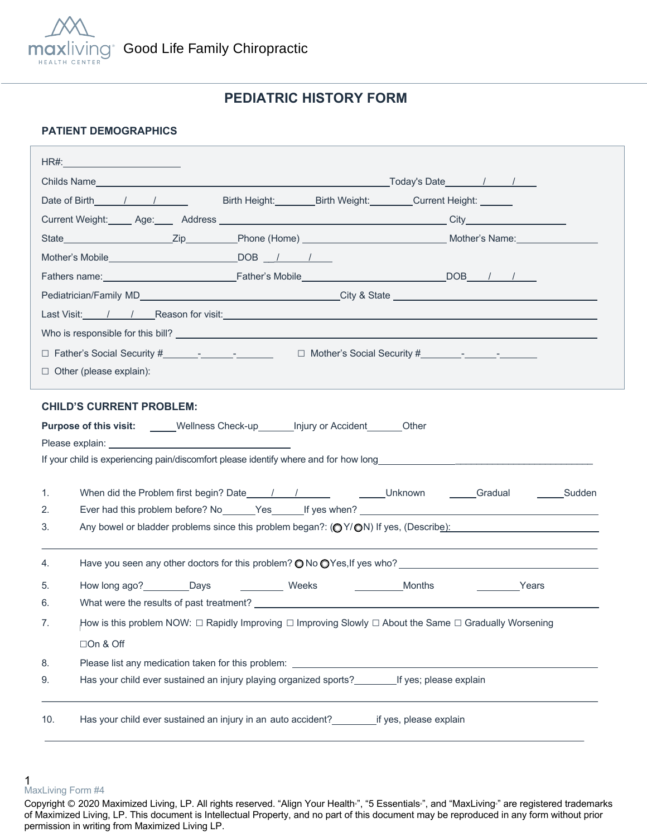

# **PEDIATRIC HISTORY FORM**

### **PATIENT DEMOGRAPHICS**

|                                          | Date of Birth 1 / / Birth Height: Birth Weight: Current Height:                                        |        |                                                                                                                   |  |
|------------------------------------------|--------------------------------------------------------------------------------------------------------|--------|-------------------------------------------------------------------------------------------------------------------|--|
|                                          |                                                                                                        |        |                                                                                                                   |  |
|                                          |                                                                                                        |        |                                                                                                                   |  |
|                                          | Mother's Mobile DOB / / /                                                                              |        |                                                                                                                   |  |
|                                          |                                                                                                        |        |                                                                                                                   |  |
|                                          |                                                                                                        |        |                                                                                                                   |  |
|                                          |                                                                                                        |        |                                                                                                                   |  |
|                                          |                                                                                                        |        |                                                                                                                   |  |
|                                          |                                                                                                        |        |                                                                                                                   |  |
| $\Box$ Other (please explain):           |                                                                                                        |        |                                                                                                                   |  |
|                                          |                                                                                                        |        |                                                                                                                   |  |
| <b>CHILD'S CURRENT PROBLEM:</b>          |                                                                                                        |        |                                                                                                                   |  |
|                                          | Purpose of this visit: _____Wellness Check-up_______Injury or Accident_______Other                     |        |                                                                                                                   |  |
|                                          |                                                                                                        |        |                                                                                                                   |  |
|                                          |                                                                                                        |        |                                                                                                                   |  |
| 1.                                       |                                                                                                        |        |                                                                                                                   |  |
| 2.                                       |                                                                                                        |        |                                                                                                                   |  |
|                                          |                                                                                                        |        |                                                                                                                   |  |
| 3.                                       |                                                                                                        |        | Any bowel or bladder problems since this problem began?: $\left(\bigcirc Y/\bigcirc N\right)$ If yes, (Describe): |  |
| 4.                                       |                                                                                                        |        |                                                                                                                   |  |
|                                          |                                                                                                        |        |                                                                                                                   |  |
| How long ago? __________Days<br>5.<br>6. | Weeks                                                                                                  | Months | <b>Example 2</b> Years                                                                                            |  |
| 7.                                       |                                                                                                        |        |                                                                                                                   |  |
|                                          | How is this problem NOW: □ Rapidly Improving □ Improving Slowly □ About the Same □ Gradually Worsening |        |                                                                                                                   |  |
| □On & Off                                |                                                                                                        |        |                                                                                                                   |  |
| 8.<br>9.                                 |                                                                                                        |        |                                                                                                                   |  |
|                                          | Has your child ever sustained an injury playing organized sports? If yes; please explain               |        |                                                                                                                   |  |

<sup>1</sup>  MaxLiving Form #4

Copyright © 2020 Maximized Living, LP. All rights reserved. "Align Your Health<sup>®</sup>, "5 Essentials<sup>®</sup>, and "MaxLiving<sup>®</sup> are registered trademarks of Maximized Living, LP. This document is Intellectual Property, and no part of this document may be reproduced in any form without prior permission in writing from Maximized Living LP.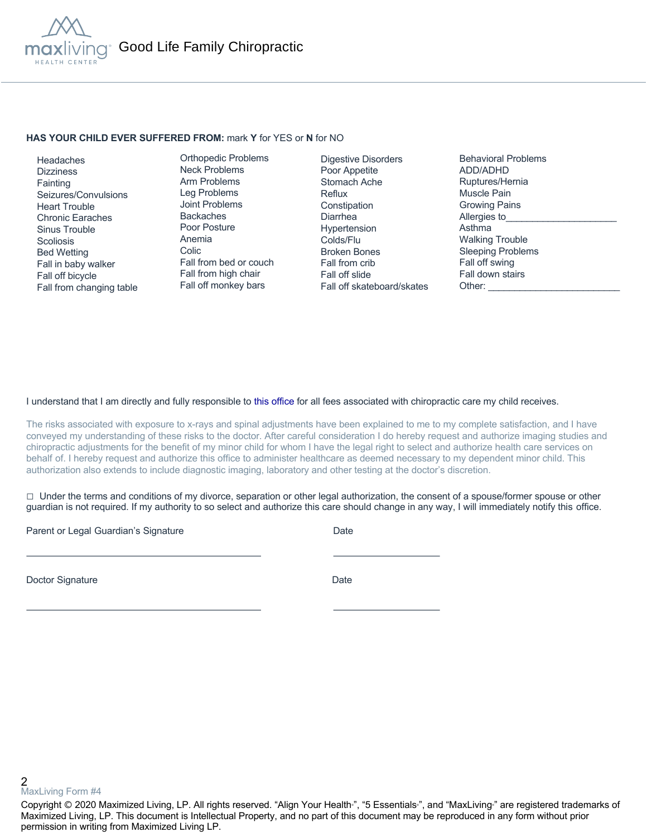

#### **HAS YOUR CHILD EVER SUFFERED FROM:** mark **Y** for YES or **N** for NO

 Headaches **Dizziness Fainting**  Seizures/Convulsions Heart Trouble Chronic Earaches Sinus Trouble **Scoliosis**  Bed Wetting Fall in baby walker Fall off bicycle Fall from changing table

Orthopedic Problems Neck Problems Arm Problems Leg Problems Joint Problems Backaches Poor Posture Anemia Colic Fall from bed or couch Fall from high chair Fall off monkey bars

Digestive Disorders Poor Appetite Stomach Ache Reflux **Constipation** Diarrhea Hypertension Colds/Flu Broken Bones Fall from crib Fall off slide Fall off skateboard/skates Behavioral Problems ADD/ADHD Ruptures/Hernia Muscle Pain Growing Pains Allergies to Asthma Walking Trouble Sleeping Problems Fall off swing Fall down stairs Other:

### I understand that I am directly and fully responsible to this office for all fees associated with chiropractic care my child receives.

The risks associated with exposure to x-rays and spinal adjustments have been explained to me to my complete satisfaction, and I have conveyed my understanding of these risks to the doctor. After careful consideration I do hereby request and authorize imaging studies and chiropractic adjustments for the benefit of my minor child for whom I have the legal right to select and authorize health care services on behalf of. I hereby request and authorize this office to administer healthcare as deemed necessary to my dependent minor child. This authorization also extends to include diagnostic imaging, laboratory and other testing at the doctor's discretion.

 $\Box$  Under the terms and conditions of my divorce, separation or other legal authorization, the consent of a spouse/former spouse or other guardian is not required. If my authority to so select and authorize this care should change in any way, I will immediately notify this office.

Parent or Legal Guardian's Signature Date Date

Doctor Signature Date

2 MaxLiving Form #4

Copyright © 2020 Maximized Living, LP. All rights reserved. "Align Your Health<sub>"</sub>, "5 Essentials<sub>"</sub>, and "MaxLiving<sub>"</sub> are registered trademarks of Maximized Living, LP. This document is Intellectual Property, and no part of this document may be reproduced in any form without prior permission in writing from Maximized Living LP.